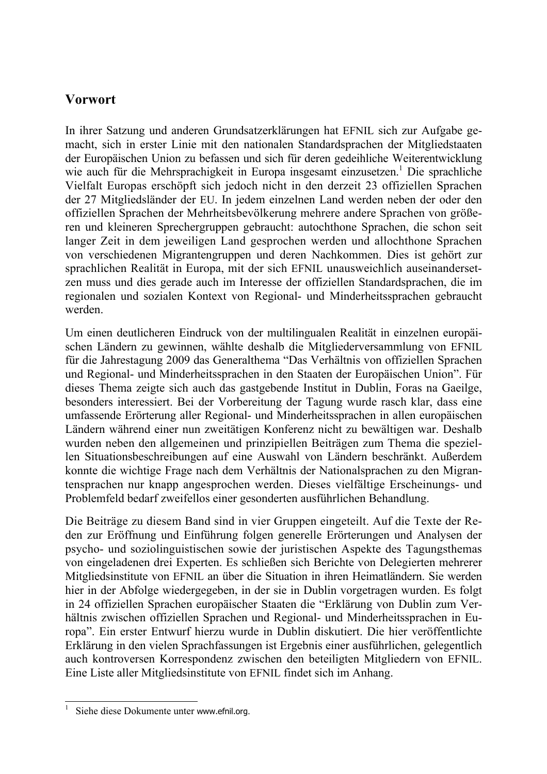## **Vorwort**

In ihrer Satzung und anderen Grundsatzerklärungen hat EFNIL sich zur Aufgabe gemacht, sich in erster Linie mit den nationalen Standardsprachen der Mitgliedstaaten der Europäischen Union zu befassen und sich für deren gedeihliche Weiterentwicklung wie auch für die Mehrsprachigkeit in Europa insgesamt einzusetzen.<sup>1</sup> Die sprachliche Vielfalt Europas erschöpft sich jedoch nicht in den derzeit 23 offiziellen Sprachen der 27 Mitgliedsländer der EU. In jedem einzelnen Land werden neben der oder den offiziellen Sprachen der Mehrheitsbevölkerung mehrere andere Sprachen von größeren und kleineren Sprechergruppen gebraucht: autochthone Sprachen, die schon seit langer Zeit in dem jeweiligen Land gesprochen werden und allochthone Sprachen von verschiedenen Migrantengruppen und deren Nachkommen. Dies ist gehört zur sprachlichen Realität in Europa, mit der sich EFNIL unausweichlich auseinandersetzen muss und dies gerade auch im Interesse der offiziellen Standardsprachen, die im regionalen und sozialen Kontext von Regional- und Minderheitssprachen gebraucht werden.

Um einen deutlicheren Eindruck von der multilingualen Realität in einzelnen europäischen Ländern zu gewinnen, wählte deshalb die Mitgliederversammlung von EFNIL für die Jahrestagung 2009 das Generalthema "Das Verhältnis von offiziellen Sprachen und Regional- und Minderheitssprachen in den Staaten der Europäischen Union". Für dieses Thema zeigte sich auch das gastgebende Institut in Dublin, Foras na Gaeilge, besonders interessiert. Bei der Vorbereitung der Tagung wurde rasch klar, dass eine umfassende Erörterung aller Regional- und Minderheitssprachen in allen europäischen Ländern während einer nun zweitätigen Konferenz nicht zu bewältigen war. Deshalb wurden neben den allgemeinen und prinzipiellen Beiträgen zum Thema die speziellen Situationsbeschreibungen auf eine Auswahl von Ländern beschränkt. Außerdem konnte die wichtige Frage nach dem Verhältnis der Nationalsprachen zu den Migrantensprachen nur knapp angesprochen werden. Dieses vielfältige Erscheinungs- und Problemfeld bedarf zweifellos einer gesonderten ausführlichen Behandlung.

Die Beiträge zu diesem Band sind in vier Gruppen eingeteilt. Auf die Texte der Reden zur Eröffnung und Einführung folgen generelle Erörterungen und Analysen der psycho- und soziolinguistischen sowie der juristischen Aspekte des Tagungsthemas von eingeladenen drei Experten. Es schließen sich Berichte von Delegierten mehrerer Mitgliedsinstitute von EFNIL an über die Situation in ihren Heimatländern. Sie werden hier in der Abfolge wiedergegeben, in der sie in Dublin vorgetragen wurden. Es folgt in 24 offiziellen Sprachen europäischer Staaten die "Erklärung von Dublin zum Verhältnis zwischen offiziellen Sprachen und Regional- und Minderheitssprachen in Europa". Ein erster Entwurf hierzu wurde in Dublin diskutiert. Die hier veröffentlichte Erklärung in den vielen Sprachfassungen ist Ergebnis einer ausführlichen, gelegentlich auch kontroversen Korrespondenz zwischen den beteiligten Mitgliedern von EFNIL. Eine Liste aller Mitgliedsinstitute von EFNIL findet sich im Anhang.

 $\overline{a}$ 

<sup>1</sup> Siehe diese Dokumente unter www.efnil.org.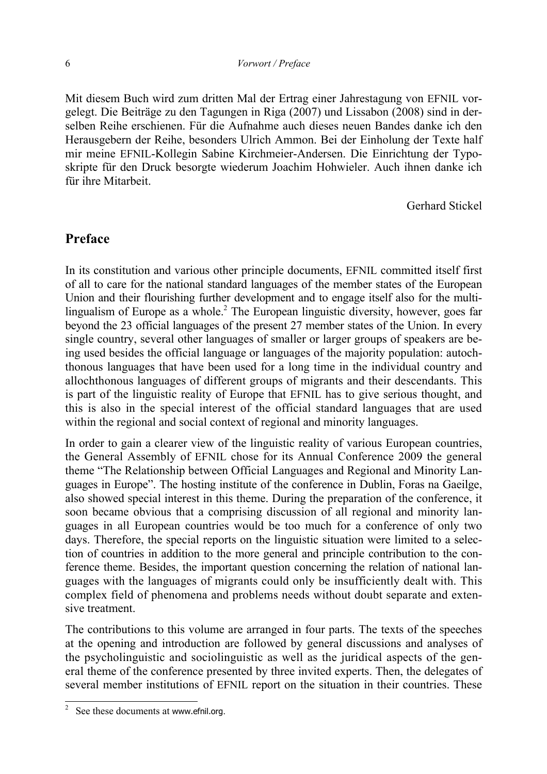Mit diesem Buch wird zum dritten Mal der Ertrag einer Jahrestagung von EFNIL vorgelegt. Die Beiträge zu den Tagungen in Riga (2007) und Lissabon (2008) sind in derselben Reihe erschienen. Für die Aufnahme auch dieses neuen Bandes danke ich den Herausgebern der Reihe, besonders Ulrich Ammon. Bei der Einholung der Texte half mir meine EFNIL-Kollegin Sabine Kirchmeier-Andersen. Die Einrichtung der Typoskripte für den Druck besorgte wiederum Joachim Hohwieler. Auch ihnen danke ich für ihre Mitarbeit.

Gerhard Stickel

## **Preface**

In its constitution and various other principle documents, EFNIL committed itself first of all to care for the national standard languages of the member states of the European Union and their flourishing further development and to engage itself also for the multilingualism of Europe as a whole.<sup>2</sup> The European linguistic diversity, however, goes far beyond the 23 official languages of the present 27 member states of the Union. In every single country, several other languages of smaller or larger groups of speakers are being used besides the official language or languages of the majority population: autochthonous languages that have been used for a long time in the individual country and allochthonous languages of different groups of migrants and their descendants. This is part of the linguistic reality of Europe that EFNIL has to give serious thought, and this is also in the special interest of the official standard languages that are used within the regional and social context of regional and minority languages.

In order to gain a clearer view of the linguistic reality of various European countries, the General Assembly of EFNIL chose for its Annual Conference 2009 the general theme "The Relationship between Official Languages and Regional and Minority Languages in Europe". The hosting institute of the conference in Dublin, Foras na Gaeilge, also showed special interest in this theme. During the preparation of the conference, it soon became obvious that a comprising discussion of all regional and minority languages in all European countries would be too much for a conference of only two days. Therefore, the special reports on the linguistic situation were limited to a selection of countries in addition to the more general and principle contribution to the conference theme. Besides, the important question concerning the relation of national languages with the languages of migrants could only be insufficiently dealt with. This complex field of phenomena and problems needs without doubt separate and extensive treatment.

The contributions to this volume are arranged in four parts. The texts of the speeches at the opening and introduction are followed by general discussions and analyses of the psycholinguistic and sociolinguistic as well as the juridical aspects of the general theme of the conference presented by three invited experts. Then, the delegates of several member institutions of EFNIL report on the situation in their countries. These

 $\overline{a}$ 

<sup>2</sup> See these documents at www.efnil.org.